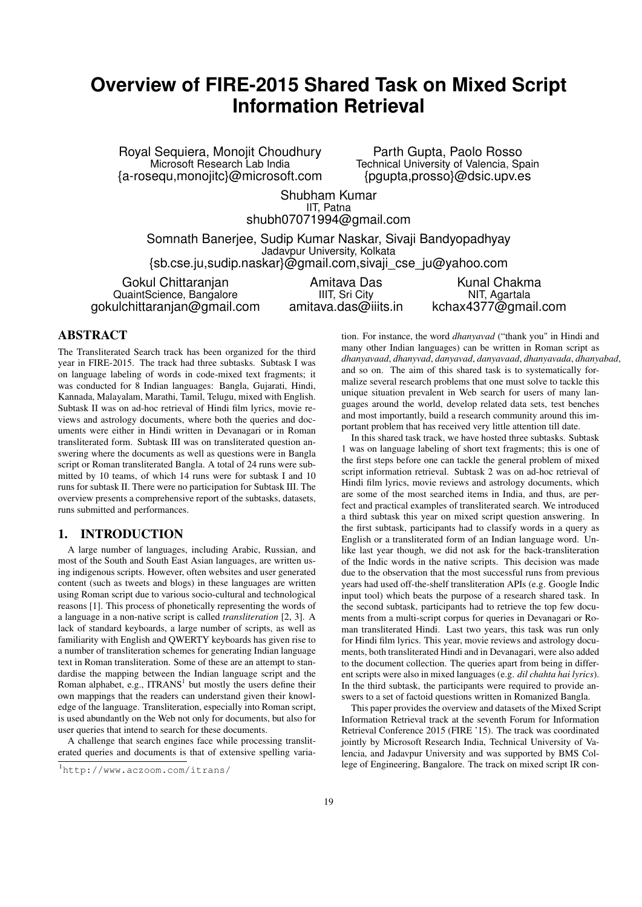# **Overview of FIRE-2015 Shared Task on Mixed Script Information Retrieval**

Royal Sequiera, Monojit Choudhury Microsoft Research Lab India {a-rosequ,monojitc}@microsoft.com

Parth Gupta, Paolo Rosso Technical University of Valencia, Spain {pgupta,prosso}@dsic.upv.es

Shubham Kumar IIT, Patna shubh07071994@gmail.com

Somnath Banerjee, Sudip Kumar Naskar, Sivaji Bandyopadhyay Jadavpur University, Kolkata

{sb.cse.ju,sudip.naskar}@gmail.com,sivaji\_cse\_ju@yahoo.com

Gokul Chittaranjan QuaintScience, Bangalore gokulchittaranjan@gmail.com

Amitava Das IIIT, Sri City amitava.das@iiits.in

Kunal Chakma NIT, Agartala kchax4377@gmail.com

# ABSTRACT

The Transliterated Search track has been organized for the third year in FIRE-2015. The track had three subtasks. Subtask I was on language labeling of words in code-mixed text fragments; it was conducted for 8 Indian languages: Bangla, Gujarati, Hindi, Kannada, Malayalam, Marathi, Tamil, Telugu, mixed with English. Subtask II was on ad-hoc retrieval of Hindi film lyrics, movie reviews and astrology documents, where both the queries and documents were either in Hindi written in Devanagari or in Roman transliterated form. Subtask III was on transliterated question answering where the documents as well as questions were in Bangla script or Roman transliterated Bangla. A total of 24 runs were submitted by 10 teams, of which 14 runs were for subtask I and 10 runs for subtask II. There were no participation for Subtask III. The overview presents a comprehensive report of the subtasks, datasets, runs submitted and performances.

### 1. INTRODUCTION

A large number of languages, including Arabic, Russian, and most of the South and South East Asian languages, are written using indigenous scripts. However, often websites and user generated content (such as tweets and blogs) in these languages are written using Roman script due to various socio-cultural and technological reasons [1]. This process of phonetically representing the words of a language in a non-native script is called *transliteration* [2, 3]. A lack of standard keyboards, a large number of scripts, as well as familiarity with English and QWERTY keyboards has given rise to a number of transliteration schemes for generating Indian language text in Roman transliteration. Some of these are an attempt to standardise the mapping between the Indian language script and the Roman alphabet, e.g.,  $ITRANS<sup>1</sup>$  but mostly the users define their own mappings that the readers can understand given their knowledge of the language. Transliteration, especially into Roman script, is used abundantly on the Web not only for documents, but also for user queries that intend to search for these documents.

A challenge that search engines face while processing transliterated queries and documents is that of extensive spelling variation. For instance, the word *dhanyavad* ("thank you" in Hindi and many other Indian languages) can be written in Roman script as *dhanyavaad*, *dhanyvad*, *danyavad*, *danyavaad*, *dhanyavada*, *dhanyabad*, and so on. The aim of this shared task is to systematically formalize several research problems that one must solve to tackle this unique situation prevalent in Web search for users of many languages around the world, develop related data sets, test benches and most importantly, build a research community around this important problem that has received very little attention till date.

In this shared task track, we have hosted three subtasks. Subtask 1 was on language labeling of short text fragments; this is one of the first steps before one can tackle the general problem of mixed script information retrieval. Subtask 2 was on ad-hoc retrieval of Hindi film lyrics, movie reviews and astrology documents, which are some of the most searched items in India, and thus, are perfect and practical examples of transliterated search. We introduced a third subtask this year on mixed script question answering. In the first subtask, participants had to classify words in a query as English or a transliterated form of an Indian language word. Unlike last year though, we did not ask for the back-transliteration of the Indic words in the native scripts. This decision was made due to the observation that the most successful runs from previous years had used off-the-shelf transliteration APIs (e.g. Google Indic input tool) which beats the purpose of a research shared task. In the second subtask, participants had to retrieve the top few documents from a multi-script corpus for queries in Devanagari or Roman transliterated Hindi. Last two years, this task was run only for Hindi film lyrics. This year, movie reviews and astrology documents, both transliterated Hindi and in Devanagari, were also added to the document collection. The queries apart from being in different scripts were also in mixed languages (e.g. *dil chahta hai lyrics*). In the third subtask, the participants were required to provide answers to a set of factoid questions written in Romanized Bangla.

This paper provides the overview and datasets of the Mixed Script Information Retrieval track at the seventh Forum for Information Retrieval Conference 2015 (FIRE '15). The track was coordinated jointly by Microsoft Research India, Technical University of Valencia, and Jadavpur University and was supported by BMS College of Engineering, Bangalore. The track on mixed script IR con-

<sup>1</sup>http://www.aczoom.com/itrans/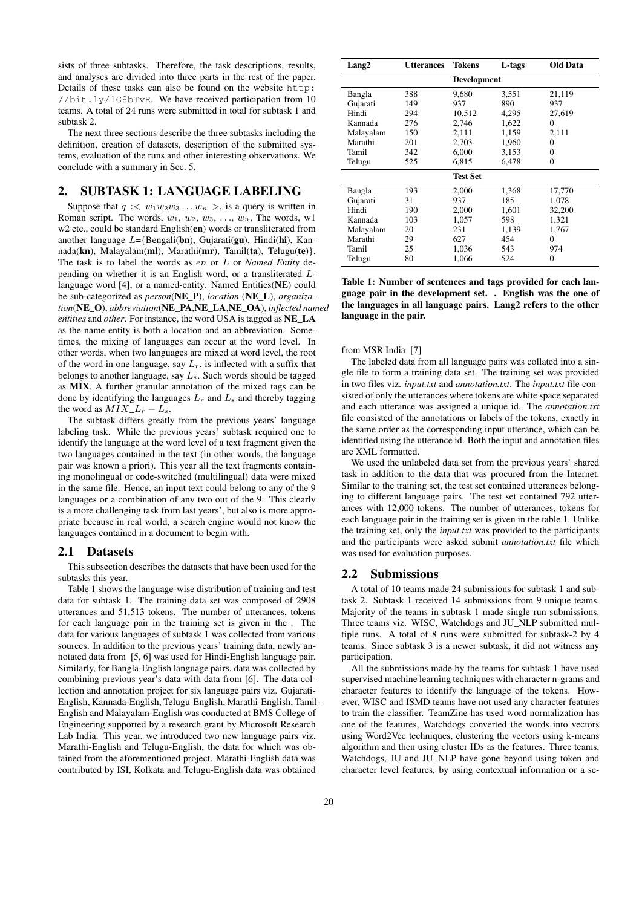sists of three subtasks. Therefore, the task descriptions, results, and analyses are divided into three parts in the rest of the paper. Details of these tasks can also be found on the website http: //bit.ly/1G8bTvR. We have received participation from 10 teams. A total of 24 runs were submitted in total for subtask 1 and subtask 2.

The next three sections describe the three subtasks including the definition, creation of datasets, description of the submitted systems, evaluation of the runs and other interesting observations. We conclude with a summary in Sec. 5.

### 2. SUBTASK 1: LANGUAGE LABELING

Suppose that  $q := w_1w_2w_3 \ldots w_n >$ , is a query is written in Roman script. The words,  $w_1, w_2, w_3, \ldots, w_n$ , The words, w1 w2 etc., could be standard English(en) words or transliterated from another language  $L=$ {Bengali(bn), Gujarati(gu), Hindi(hi), Kannada( $\mathbf{kn}$ ), Malayalam( $\mathbf{ml}$ ), Marathi( $\mathbf{mr}$ ), Tamil( $\mathbf{ta}$ ), Telugu( $\mathbf{te}$ )}. The task is to label the words as en or L or *Named Entity* depending on whether it is an English word, or a transliterated Llanguage word [4], or a named-entity. Named Entities(NE) could be sub-categorized as *person*(NE\_P), *location* (NE\_L), *organization*(NE\_O), *abbreviation*(NE\_PA,NE\_LA,NE\_OA), *inflected named entities* and *other*. For instance, the word USA is tagged as NE\_LA as the name entity is both a location and an abbreviation. Sometimes, the mixing of languages can occur at the word level. In other words, when two languages are mixed at word level, the root of the word in one language, say  $L_r$ , is inflected with a suffix that belongs to another language, say  $L_s$ . Such words should be tagged as MIX. A further granular annotation of the mixed tags can be done by identifying the languages  $L_r$  and  $L_s$  and thereby tagging the word as  $MIX\_L_r - L_s$ .

The subtask differs greatly from the previous years' language labeling task. While the previous years' subtask required one to identify the language at the word level of a text fragment given the two languages contained in the text (in other words, the language pair was known a priori). This year all the text fragments containing monolingual or code-switched (multilingual) data were mixed in the same file. Hence, an input text could belong to any of the 9 languages or a combination of any two out of the 9. This clearly is a more challenging task from last years', but also is more appropriate because in real world, a search engine would not know the languages contained in a document to begin with.

### 2.1 Datasets

This subsection describes the datasets that have been used for the subtasks this year.

Table 1 shows the language-wise distribution of training and test data for subtask 1. The training data set was composed of 2908 utterances and 51,513 tokens. The number of utterances, tokens for each language pair in the training set is given in the . The data for various languages of subtask 1 was collected from various sources. In addition to the previous years' training data, newly annotated data from [5, 6] was used for Hindi-English language pair. Similarly, for Bangla-English language pairs, data was collected by combining previous year's data with data from [6]. The data collection and annotation project for six language pairs viz. Gujarati-English, Kannada-English, Telugu-English, Marathi-English, Tamil-English and Malayalam-English was conducted at BMS College of Engineering supported by a research grant by Microsoft Research Lab India. This year, we introduced two new language pairs viz. Marathi-English and Telugu-English, the data for which was obtained from the aforementioned project. Marathi-English data was contributed by ISI, Kolkata and Telugu-English data was obtained

| Lang2     | <b>Utterances</b> | <b>Tokens</b>   | L-tags | <b>Old Data</b> |
|-----------|-------------------|-----------------|--------|-----------------|
|           |                   | Development     |        |                 |
| Bangla    | 388               | 9,680           | 3,551  | 21,119          |
| Gujarati  | 149               | 937             | 890    | 937             |
| Hindi     | 294               | 10,512          | 4,295  | 27,619          |
| Kannada   | 276               | 2.746           | 1,622  | 0               |
| Malayalam | 150               | 2,111           | 1,159  | 2,111           |
| Marathi   | 201               | 2,703           | 1,960  | 0               |
| Tamil     | 342               | 6.000           | 3.153  | 0               |
| Telugu    | 525               | 6.815           | 6.478  | 0               |
|           |                   | <b>Test Set</b> |        |                 |
| Bangla    | 193               | 2,000           | 1,368  | 17,770          |
| Gujarati  | 31                | 937             | 185    | 1,078           |
| Hindi     | 190               | 2,000           | 1,601  | 32,200          |
| Kannada   | 103               | 1.057           | 598    | 1.321           |
| Malayalam | 20                | 231             | 1,139  | 1,767           |
| Marathi   | 29                | 627             | 454    | 0               |
| Tamil     | 25                | 1,036           | 543    | 974             |
| Telugu    | 80                | 1,066           | 524    | 0               |

Table 1: Number of sentences and tags provided for each language pair in the development set. . English was the one of the languages in all language pairs. Lang2 refers to the other language in the pair.

### from MSR India [7]

The labeled data from all language pairs was collated into a single file to form a training data set. The training set was provided in two files viz. *input.txt* and *annotation.txt*. The *input.txt* file consisted of only the utterances where tokens are white space separated and each utterance was assigned a unique id. The *annotation.txt* file consisted of the annotations or labels of the tokens, exactly in the same order as the corresponding input utterance, which can be identified using the utterance id. Both the input and annotation files are XML formatted.

We used the unlabeled data set from the previous years' shared task in addition to the data that was procured from the Internet. Similar to the training set, the test set contained utterances belonging to different language pairs. The test set contained 792 utterances with 12,000 tokens. The number of utterances, tokens for each language pair in the training set is given in the table 1. Unlike the training set, only the *input.txt* was provided to the participants and the participants were asked submit *annotation.txt* file which was used for evaluation purposes.

### 2.2 Submissions

A total of 10 teams made 24 submissions for subtask 1 and subtask 2. Subtask 1 received 14 submissions from 9 unique teams. Majority of the teams in subtask 1 made single run submissions. Three teams viz. WISC, Watchdogs and JU\_NLP submitted multiple runs. A total of 8 runs were submitted for subtask-2 by 4 teams. Since subtask 3 is a newer subtask, it did not witness any participation.

All the submissions made by the teams for subtask 1 have used supervised machine learning techniques with character n-grams and character features to identify the language of the tokens. However, WISC and ISMD teams have not used any character features to train the classifier. TeamZine has used word normalization has one of the features, Watchdogs converted the words into vectors using Word2Vec techniques, clustering the vectors using k-means algorithm and then using cluster IDs as the features. Three teams, Watchdogs, JU and JU\_NLP have gone beyond using token and character level features, by using contextual information or a se-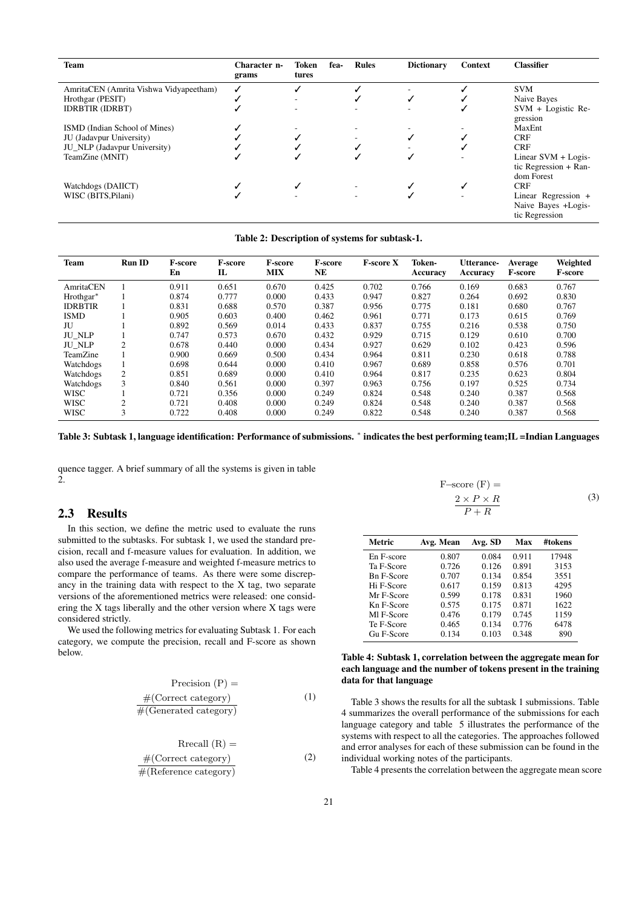| <b>Team</b>                            | Character n-<br>grams | Token<br>tures | fea- | <b>Rules</b> | <b>Dictionary</b> | Context | <b>Classifier</b>                                            |
|----------------------------------------|-----------------------|----------------|------|--------------|-------------------|---------|--------------------------------------------------------------|
| AmritaCEN (Amrita Vishwa Vidyapeetham) | ✓                     |                |      |              |                   |         | <b>SVM</b>                                                   |
| Hrothgar (PESIT)                       |                       |                |      |              | ✓                 |         | Naive Bayes                                                  |
| <b>IDRBTIR (IDRBT)</b>                 |                       |                |      |              |                   | ✓       | $SVM + Logistic Re-$<br>gression                             |
| ISMD (Indian School of Mines)          |                       |                |      |              |                   |         | MaxEnt                                                       |
| JU (Jadavpur University)               |                       |                |      |              |                   |         | <b>CRF</b>                                                   |
| JU NLP (Jadavpur University)           |                       |                |      |              |                   |         | <b>CRF</b>                                                   |
| TeamZine (MNIT)                        |                       |                |      |              | ✓                 |         | Linear $SVM + Logis$<br>tic Regression + Ran-<br>dom Forest  |
| Watchdogs (DAIICT)                     |                       |                |      |              |                   |         | <b>CRF</b>                                                   |
| WISC (BITS, Pilani)                    |                       |                |      |              |                   |         | Linear Regression +<br>Naive Bayes +Logis-<br>tic Regression |

| <b>Team</b>    | <b>Run ID</b>  | <b>F-score</b><br>En | <b>F-score</b><br>П | <b>F-score</b><br><b>MIX</b> | <b>F-score</b><br>NE | <b>F-score X</b> | Token-<br>Accuracy | <b>Utterance-</b><br>Accuracy | Average<br><b>F-score</b> | Weighted<br><b>F-score</b> |
|----------------|----------------|----------------------|---------------------|------------------------------|----------------------|------------------|--------------------|-------------------------------|---------------------------|----------------------------|
| AmritaCEN      |                | 0.911                | 0.651               | 0.670                        | 0.425                | 0.702            | 0.766              | 0.169                         | 0.683                     | 0.767                      |
| Hrothgar*      |                | 0.874                | 0.777               | 0.000                        | 0.433                | 0.947            | 0.827              | 0.264                         | 0.692                     | 0.830                      |
| <b>IDRBTIR</b> |                | 0.831                | 0.688               | 0.570                        | 0.387                | 0.956            | 0.775              | 0.181                         | 0.680                     | 0.767                      |
| <b>ISMD</b>    |                | 0.905                | 0.603               | 0.400                        | 0.462                | 0.961            | 0.771              | 0.173                         | 0.615                     | 0.769                      |
| JU             |                | 0.892                | 0.569               | 0.014                        | 0.433                | 0.837            | 0.755              | 0.216                         | 0.538                     | 0.750                      |
| <b>JU NLP</b>  |                | 0.747                | 0.573               | 0.670                        | 0.432                | 0.929            | 0.715              | 0.129                         | 0.610                     | 0.700                      |
| <b>JU_NLP</b>  | $\overline{c}$ | 0.678                | 0.440               | 0.000                        | 0.434                | 0.927            | 0.629              | 0.102                         | 0.423                     | 0.596                      |
| TeamZine       |                | 0.900                | 0.669               | 0.500                        | 0.434                | 0.964            | 0.811              | 0.230                         | 0.618                     | 0.788                      |
| Watchdogs      |                | 0.698                | 0.644               | 0.000                        | 0.410                | 0.967            | 0.689              | 0.858                         | 0.576                     | 0.701                      |
| Watchdogs      | 2              | 0.851                | 0.689               | 0.000                        | 0.410                | 0.964            | 0.817              | 0.235                         | 0.623                     | 0.804                      |
| Watchdogs      | 3              | 0.840                | 0.561               | 0.000                        | 0.397                | 0.963            | 0.756              | 0.197                         | 0.525                     | 0.734                      |
| <b>WISC</b>    |                | 0.721                | 0.356               | 0.000                        | 0.249                | 0.824            | 0.548              | 0.240                         | 0.387                     | 0.568                      |
| <b>WISC</b>    | $\sim$         | 0.721                | 0.408               | 0.000                        | 0.249                | 0.824            | 0.548              | 0.240                         | 0.387                     | 0.568                      |
| <b>WISC</b>    | 3              | 0.722                | 0.408               | 0.000                        | 0.249                | 0.822            | 0.548              | 0.240                         | 0.387                     | 0.568                      |

Table 3: Subtask 1, language identification: Performance of submissions. <sup>∗</sup> indicates the best performing team;IL =Indian Languages

quence tagger. A brief summary of all the systems is given in table 2.

## 2.3 Results

In this section, we define the metric used to evaluate the runs submitted to the subtasks. For subtask 1, we used the standard precision, recall and f-measure values for evaluation. In addition, we also used the average f-measure and weighted f-measure metrics to compare the performance of teams. As there were some discrepancy in the training data with respect to the X tag, two separate versions of the aforementioned metrics were released: one considering the X tags liberally and the other version where X tags were considered strictly.

We used the following metrics for evaluating Subtask 1. For each category, we compute the precision, recall and F-score as shown below.

$$
Precision (P) =
$$
  
\n
$$
\frac{\#(Correct \ category)}{\#(Generaled \ category)}
$$
 (1)

$$
Rrecall (R) =
$$
  
#(Correct category)  
#(Reference category) (2)

$$
F\text{-score}(F) =
$$
  
\n
$$
\frac{2 \times P \times R}{P + R}
$$
 (3)

| Metric            | Avg. Mean | Avg. SD | Max   | #tokens |
|-------------------|-----------|---------|-------|---------|
| En F-score        | 0.807     | 0.084   | 0.911 | 17948   |
| Ta F-Score        | 0.726     | 0.126   | 0.891 | 3153    |
| <b>Bn F-Score</b> | 0.707     | 0.134   | 0.854 | 3551    |
| Hi F-Score        | 0.617     | 0.159   | 0.813 | 4295    |
| Mr F-Score        | 0.599     | 0.178   | 0.831 | 1960    |
| Kn F-Score        | 0.575     | 0.175   | 0.871 | 1622    |
| MI F-Score        | 0.476     | 0.179   | 0.745 | 1159    |
| Te F-Score        | 0.465     | 0.134   | 0.776 | 6478    |
| Gu F-Score        | 0.134     | 0.103   | 0.348 | 890     |

### Table 4: Subtask 1, correlation between the aggregate mean for each language and the number of tokens present in the training data for that language

Table 3 shows the results for all the subtask 1 submissions. Table 4 summarizes the overall performance of the submissions for each language category and table 5 illustrates the performance of the systems with respect to all the categories. The approaches followed and error analyses for each of these submission can be found in the individual working notes of the participants.

Table 4 presents the correlation between the aggregate mean score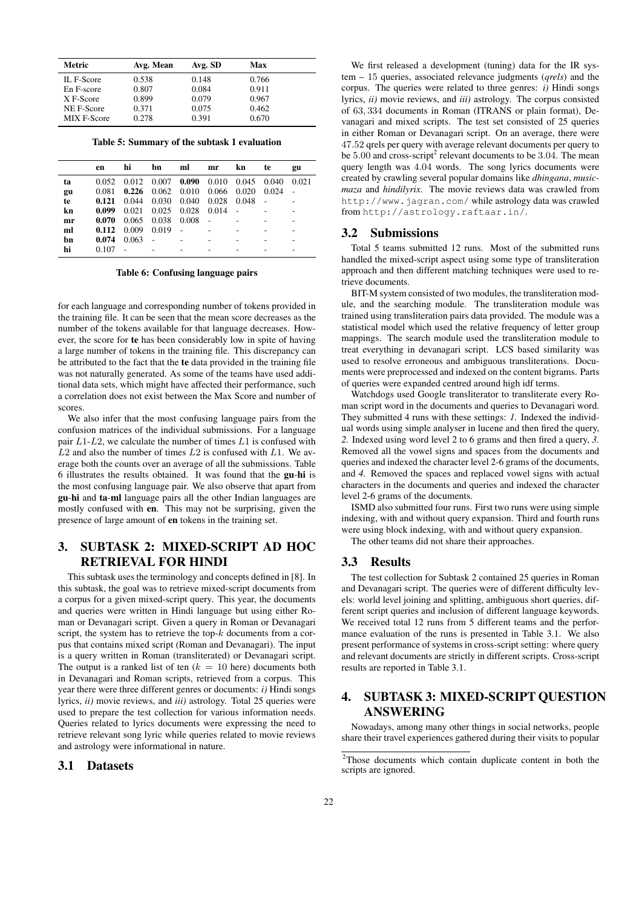| Metric      | Avg. Mean | Avg. SD | Max   |  |
|-------------|-----------|---------|-------|--|
| IL F-Score  | 0.538     | 0.148   | 0.766 |  |
| En F-score  | 0.807     | 0.084   | 0.911 |  |
| X F-Score   | 0.899     | 0.079   | 0.967 |  |
| NE F-Score  | 0.371     | 0.075   | 0.462 |  |
| MIX F-Score | 0.278     | 0.391   | 0.670 |  |

Table 5: Summary of the subtask 1 evaluation

|    | en    | hi    | bn                              | ml    | mr    | kn    | te    | gu    |
|----|-------|-------|---------------------------------|-------|-------|-------|-------|-------|
| ta | 0.052 | 0.012 | 0.007 0.090 0.010 0.045 0.040   |       |       |       |       | 0.021 |
| gu | 0.081 |       | $0.226$ 0.062 0.010 0.066 0.020 |       |       |       | 0.024 |       |
| te | 0.121 | 0.044 | 0.030 0.040 0.028               |       |       | 0.048 |       |       |
| kn | 0.099 | 0.021 | 0.025                           | 0.028 | 0.014 |       |       |       |
| mr | 0.070 | 0.065 | 0.038                           | 0.008 |       |       |       |       |
| ml | 0.112 | 0.009 | 0.019                           |       |       |       |       |       |
| bn | 0.074 | 0.063 |                                 |       |       |       |       |       |
| hi | 0.107 |       |                                 |       |       |       |       |       |
|    |       |       |                                 |       |       |       |       |       |

Table 6: Confusing language pairs

for each language and corresponding number of tokens provided in the training file. It can be seen that the mean score decreases as the number of the tokens available for that language decreases. However, the score for te has been considerably low in spite of having a large number of tokens in the training file. This discrepancy can be attributed to the fact that the te data provided in the training file was not naturally generated. As some of the teams have used additional data sets, which might have affected their performance, such a correlation does not exist between the Max Score and number of scores.

We also infer that the most confusing language pairs from the confusion matrices of the individual submissions. For a language pair  $L1-L2$ , we calculate the number of times  $L1$  is confused with  $L2$  and also the number of times  $L2$  is confused with  $L1$ . We average both the counts over an average of all the submissions. Table 6 illustrates the results obtained. It was found that the gu-hi is the most confusing language pair. We also observe that apart from gu-hi and ta-ml language pairs all the other Indian languages are mostly confused with en. This may not be surprising, given the presence of large amount of en tokens in the training set.

# 3. SUBTASK 2: MIXED-SCRIPT AD HOC RETRIEVAL FOR HINDI

This subtask uses the terminology and concepts defined in [8]. In this subtask, the goal was to retrieve mixed-script documents from a corpus for a given mixed-script query. This year, the documents and queries were written in Hindi language but using either Roman or Devanagari script. Given a query in Roman or Devanagari script, the system has to retrieve the top- $k$  documents from a corpus that contains mixed script (Roman and Devanagari). The input is a query written in Roman (transliterated) or Devanagari script. The output is a ranked list of ten  $(k = 10$  here) documents both in Devanagari and Roman scripts, retrieved from a corpus. This year there were three different genres or documents: *i)* Hindi songs lyrics, *ii)* movie reviews, and *iii)* astrology. Total 25 queries were used to prepare the test collection for various information needs. Queries related to lyrics documents were expressing the need to retrieve relevant song lyric while queries related to movie reviews and astrology were informational in nature.

### 3.1 Datasets

We first released a development (tuning) data for the IR system – 15 queries, associated relevance judgments (*qrels*) and the corpus. The queries were related to three genres: *i)* Hindi songs lyrics, *ii)* movie reviews, and *iii)* astrology. The corpus consisted of 63, 334 documents in Roman (ITRANS or plain format), Devanagari and mixed scripts. The test set consisted of 25 queries in either Roman or Devanagari script. On an average, there were 47.52 qrels per query with average relevant documents per query to be  $5.00$  and cross-script<sup>2</sup> relevant documents to be  $3.04$ . The mean query length was 4.04 words. The song lyrics documents were created by crawling several popular domains like *dhingana*, *musicmaza* and *hindilyrix*. The movie reviews data was crawled from http://www.jagran.com/ while astrology data was crawled from http://astrology.raftaar.in/.

### 3.2 Submissions

Total 5 teams submitted 12 runs. Most of the submitted runs handled the mixed-script aspect using some type of transliteration approach and then different matching techniques were used to retrieve documents.

BIT-M system consisted of two modules, the transliteration module, and the searching module. The transliteration module was trained using transliteration pairs data provided. The module was a statistical model which used the relative frequency of letter group mappings. The search module used the transliteration module to treat everything in devanagari script. LCS based similarity was used to resolve erroneous and ambiguous transliterations. Documents were preprocessed and indexed on the content bigrams. Parts of queries were expanded centred around high idf terms.

Watchdogs used Google transliterator to transliterate every Roman script word in the documents and queries to Devanagari word. They submitted 4 runs with these settings: *1.* Indexed the individual words using simple analyser in lucene and then fired the query, *2.* Indexed using word level 2 to 6 grams and then fired a query, *3.* Removed all the vowel signs and spaces from the documents and queries and indexed the character level 2-6 grams of the documents, and *4.* Removed the spaces and replaced vowel signs with actual characters in the documents and queries and indexed the character level 2-6 grams of the documents.

ISMD also submitted four runs. First two runs were using simple indexing, with and without query expansion. Third and fourth runs were using block indexing, with and without query expansion.

The other teams did not share their approaches.

### 3.3 Results

The test collection for Subtask 2 contained 25 queries in Roman and Devanagari script. The queries were of different difficulty levels: world level joining and splitting, ambiguous short queries, different script queries and inclusion of different language keywords. We received total 12 runs from 5 different teams and the performance evaluation of the runs is presented in Table 3.1. We also present performance of systems in cross-script setting: where query and relevant documents are strictly in different scripts. Cross-script results are reported in Table 3.1.

# 4. SUBTASK 3: MIXED-SCRIPT QUESTION ANSWERING

Nowadays, among many other things in social networks, people share their travel experiences gathered during their visits to popular

<sup>2</sup>Those documents which contain duplicate content in both the scripts are ignored.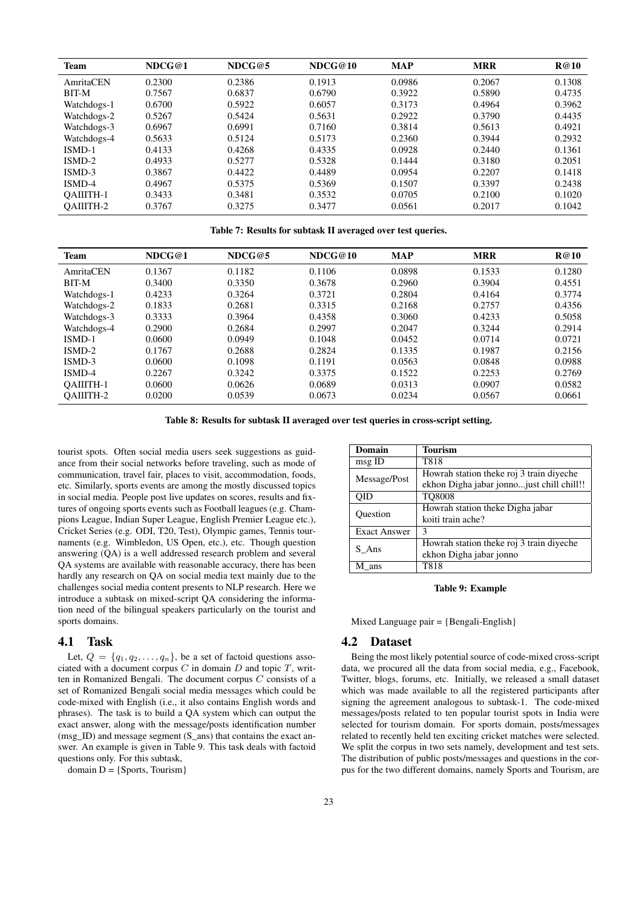| <b>Team</b>      | NDCG@1 | NDCG@5 | NDCG@10 | <b>MAP</b> | <b>MRR</b> | <b>R</b> @10 |
|------------------|--------|--------|---------|------------|------------|--------------|
| AmritaCEN        | 0.2300 | 0.2386 | 0.1913  | 0.0986     | 0.2067     | 0.1308       |
| <b>BIT-M</b>     | 0.7567 | 0.6837 | 0.6790  | 0.3922     | 0.5890     | 0.4735       |
| Watchdogs-1      | 0.6700 | 0.5922 | 0.6057  | 0.3173     | 0.4964     | 0.3962       |
| Watchdogs-2      | 0.5267 | 0.5424 | 0.5631  | 0.2922     | 0.3790     | 0.4435       |
| Watchdogs-3      | 0.6967 | 0.6991 | 0.7160  | 0.3814     | 0.5613     | 0.4921       |
| Watchdogs-4      | 0.5633 | 0.5124 | 0.5173  | 0.2360     | 0.3944     | 0.2932       |
| ISMD-1           | 0.4133 | 0.4268 | 0.4335  | 0.0928     | 0.2440     | 0.1361       |
| ISMD-2           | 0.4933 | 0.5277 | 0.5328  | 0.1444     | 0.3180     | 0.2051       |
| ISMD-3           | 0.3867 | 0.4422 | 0.4489  | 0.0954     | 0.2207     | 0.1418       |
| ISMD-4           | 0.4967 | 0.5375 | 0.5369  | 0.1507     | 0.3397     | 0.2438       |
| <b>OAIIITH-1</b> | 0.3433 | 0.3481 | 0.3532  | 0.0705     | 0.2100     | 0.1020       |
| <b>OAIIITH-2</b> | 0.3767 | 0.3275 | 0.3477  | 0.0561     | 0.2017     | 0.1042       |

Table 7: Results for subtask II averaged over test queries.

| <b>Team</b>      | NDCG@1 | NDCG@5 | NDCG@10 | <b>MAP</b> | <b>MRR</b> | R@10   |
|------------------|--------|--------|---------|------------|------------|--------|
| AmritaCEN        | 0.1367 | 0.1182 | 0.1106  | 0.0898     | 0.1533     | 0.1280 |
| BIT-M            | 0.3400 | 0.3350 | 0.3678  | 0.2960     | 0.3904     | 0.4551 |
| Watchdogs-1      | 0.4233 | 0.3264 | 0.3721  | 0.2804     | 0.4164     | 0.3774 |
| Watchdogs-2      | 0.1833 | 0.2681 | 0.3315  | 0.2168     | 0.2757     | 0.4356 |
| Watchdogs-3      | 0.3333 | 0.3964 | 0.4358  | 0.3060     | 0.4233     | 0.5058 |
| Watchdogs-4      | 0.2900 | 0.2684 | 0.2997  | 0.2047     | 0.3244     | 0.2914 |
| ISMD-1           | 0.0600 | 0.0949 | 0.1048  | 0.0452     | 0.0714     | 0.0721 |
| ISMD-2           | 0.1767 | 0.2688 | 0.2824  | 0.1335     | 0.1987     | 0.2156 |
| ISMD-3           | 0.0600 | 0.1098 | 0.1191  | 0.0563     | 0.0848     | 0.0988 |
| ISMD-4           | 0.2267 | 0.3242 | 0.3375  | 0.1522     | 0.2253     | 0.2769 |
| <b>OAIIITH-1</b> | 0.0600 | 0.0626 | 0.0689  | 0.0313     | 0.0907     | 0.0582 |
| OAIIITH-2        | 0.0200 | 0.0539 | 0.0673  | 0.0234     | 0.0567     | 0.0661 |

Table 8: Results for subtask II averaged over test queries in cross-script setting.

tourist spots. Often social media users seek suggestions as guidance from their social networks before traveling, such as mode of communication, travel fair, places to visit, accommodation, foods, etc. Similarly, sports events are among the mostly discussed topics in social media. People post live updates on scores, results and fixtures of ongoing sports events such as Football leagues (e.g. Champions League, Indian Super League, English Premier League etc.), Cricket Series (e.g. ODI, T20, Test), Olympic games, Tennis tournaments (e.g. Wimbledon, US Open, etc.), etc. Though question answering (QA) is a well addressed research problem and several QA systems are available with reasonable accuracy, there has been hardly any research on QA on social media text mainly due to the challenges social media content presents to NLP research. Here we introduce a subtask on mixed-script QA considering the information need of the bilingual speakers particularly on the tourist and sports domains.

### 4.1 Task

Let,  $Q = \{q_1, q_2, \ldots, q_n\}$ , be a set of factoid questions associated with a document corpus  $C$  in domain  $D$  and topic  $T$ , written in Romanized Bengali. The document corpus C consists of a set of Romanized Bengali social media messages which could be code-mixed with English (i.e., it also contains English words and phrases). The task is to build a QA system which can output the exact answer, along with the message/posts identification number (msg\_ID) and message segment (S\_ans) that contains the exact answer. An example is given in Table 9. This task deals with factoid questions only. For this subtask,

domain  $D = \{$ Sports, Tourism $\}$ 

| Domain              | <b>Tourism</b>                            |  |  |  |  |  |
|---------------------|-------------------------------------------|--|--|--|--|--|
| msg ID              | T818                                      |  |  |  |  |  |
| Message/Post        | Howrah station theke roj 3 train diveche  |  |  |  |  |  |
|                     | ekhon Digha jabar jonnojust chill chill!! |  |  |  |  |  |
| OID                 | <b>TO8008</b>                             |  |  |  |  |  |
|                     | Howrah station theke Digha jabar          |  |  |  |  |  |
| Question            | koiti train ache?                         |  |  |  |  |  |
| <b>Exact Answer</b> | 3                                         |  |  |  |  |  |
| S Ans               | Howrah station theke roj 3 train diyeche  |  |  |  |  |  |
|                     | ekhon Digha jabar jonno                   |  |  |  |  |  |
| M ans               | T818                                      |  |  |  |  |  |

Table 9: Example

Mixed Language pair = {Bengali-English}

### 4.2 Dataset

Being the most likely potential source of code-mixed cross-script data, we procured all the data from social media, e.g., Facebook, Twitter, blogs, forums, etc. Initially, we released a small dataset which was made available to all the registered participants after signing the agreement analogous to subtask-1. The code-mixed messages/posts related to ten popular tourist spots in India were selected for tourism domain. For sports domain, posts/messages related to recently held ten exciting cricket matches were selected. We split the corpus in two sets namely, development and test sets. The distribution of public posts/messages and questions in the corpus for the two different domains, namely Sports and Tourism, are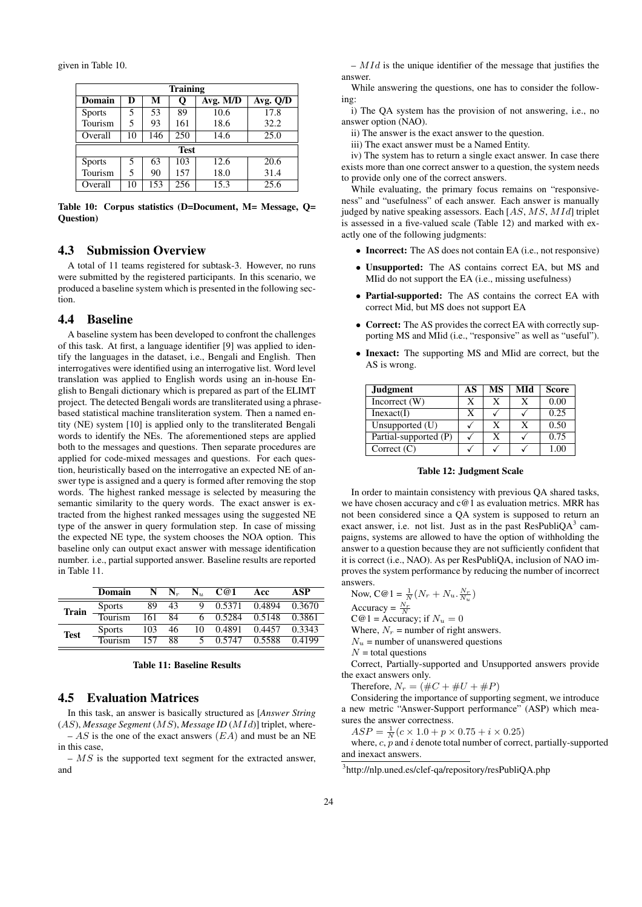given in Table 10.

| <b>Training</b> |             |     |     |          |                        |  |  |  |  |  |  |
|-----------------|-------------|-----|-----|----------|------------------------|--|--|--|--|--|--|
| <b>Domain</b>   | D           | М   | Q   | Avg. M/D | $\overline{Avg}$ . Q/D |  |  |  |  |  |  |
| <b>Sports</b>   | 5           | 53  | 89  | 10.6     | 17.8                   |  |  |  |  |  |  |
| Tourism         | 5           | 93  | 161 | 18.6     | 32.2                   |  |  |  |  |  |  |
| Overall         | 10          | 146 | 250 | 14.6     | 25.0                   |  |  |  |  |  |  |
|                 | <b>Test</b> |     |     |          |                        |  |  |  |  |  |  |
| <b>Sports</b>   | 5           | 63  | 103 | 12.6     | 20.6                   |  |  |  |  |  |  |
| Tourism         | 5           | 90  | 157 | 18.0     | 31.4                   |  |  |  |  |  |  |
| Overall         | 10          | 153 | 256 | 15.3     | 25.6                   |  |  |  |  |  |  |

Table 10: Corpus statistics (D=Document, M= Message, Q= Question)

### 4.3 Submission Overview

A total of 11 teams registered for subtask-3. However, no runs were submitted by the registered participants. In this scenario, we produced a baseline system which is presented in the following section.

#### 4.4 Baseline

A baseline system has been developed to confront the challenges of this task. At first, a language identifier [9] was applied to identify the languages in the dataset, i.e., Bengali and English. Then interrogatives were identified using an interrogative list. Word level translation was applied to English words using an in-house English to Bengali dictionary which is prepared as part of the ELIMT project. The detected Bengali words are transliterated using a phrasebased statistical machine transliteration system. Then a named entity (NE) system [10] is applied only to the transliterated Bengali words to identify the NEs. The aforementioned steps are applied both to the messages and questions. Then separate procedures are applied for code-mixed messages and questions. For each question, heuristically based on the interrogative an expected NE of answer type is assigned and a query is formed after removing the stop words. The highest ranked message is selected by measuring the semantic similarity to the query words. The exact answer is extracted from the highest ranked messages using the suggested NE type of the answer in query formulation step. In case of missing the expected NE type, the system chooses the NOA option. This baseline only can output exact answer with message identification number. i.e., partial supported answer. Baseline results are reported in Table 11.

|              | Domain        | N                | $\mathbf{N}_r$ | $\mathbf{N}_u$ | C@1             | Acc           | ASP    |
|--------------|---------------|------------------|----------------|----------------|-----------------|---------------|--------|
| <b>Train</b> | <b>Sports</b> | 89               | 43             | 9              | 0.5371          | 0.4894        | 0.3670 |
|              | Tourism       | $\overline{161}$ | 84             |                | 6 0.5284        | 0.5148 0.3861 |        |
| <b>Test</b>  | <b>Sports</b> | 103              | 46             | 10             | 0.4891          | 0.4457        | 0.3343 |
|              | Tourism       | 157              | 88             |                | 5 0.5747 0.5588 |               | 0.4199 |

#### Table 11: Baseline Results

### 4.5 Evaluation Matrices

In this task, an answer is basically structured as [*Answer String* (AS), *Message Segment* (MS), *Message ID* (MId)] triplet, where-  $- AS$  is the one of the exact answers  $(EA)$  and must be an NE in this case,

 $- MS$  is the supported text segment for the extracted answer, and

 $-MId$  is the unique identifier of the message that justifies the answer.

While answering the questions, one has to consider the following:

i) The QA system has the provision of not answering, i.e., no answer option (NAO).

ii) The answer is the exact answer to the question.

iii) The exact answer must be a Named Entity.

iv) The system has to return a single exact answer. In case there exists more than one correct answer to a question, the system needs to provide only one of the correct answers.

While evaluating, the primary focus remains on "responsiveness" and "usefulness" of each answer. Each answer is manually judged by native speaking assessors. Each  $[AS, MS, MId]$  triplet is assessed in a five-valued scale (Table 12) and marked with exactly one of the following judgments:

- Incorrect: The AS does not contain EA (i.e., not responsive)
- Unsupported: The AS contains correct EA, but MS and MIid do not support the EA (i.e., missing usefulness)
- Partial-supported: The AS contains the correct EA with correct Mid, but MS does not support EA
- Correct: The AS provides the correct EA with correctly supporting MS and MIid (i.e., "responsive" as well as "useful").
- Inexact: The supporting MS and MIid are correct, but the AS is wrong.

| <b>Judgment</b>       | AS | МS | MId | <b>Score</b> |
|-----------------------|----|----|-----|--------------|
| Incorrect $(W)$       |    | X  |     | 0.00         |
| Inexact(I)            |    |    |     | 0.25         |
| Unsupported (U)       |    | X  | X   | 0.50         |
| Partial-supported (P) |    | X  |     | 0.75         |
| Correct $(C)$         |    |    |     |              |

#### Table 12: Judgment Scale

In order to maintain consistency with previous QA shared tasks, we have chosen accuracy and c@1 as evaluation metrics. MRR has not been considered since a QA system is supposed to return an exact answer, i.e. not list. Just as in the past ResPubliQA $3$  campaigns, systems are allowed to have the option of withholding the answer to a question because they are not sufficiently confident that it is correct (i.e., NAO). As per ResPubliQA, inclusion of NAO improves the system performance by reducing the number of incorrect answers.

Now, 
$$
C@1 = \frac{1}{N}(N_r + N_u \cdot \frac{N_r}{N_u})
$$

Accuracy =  $\frac{N_r}{N}$ 

 $C@1 = Accuracy$ ; if  $N_u = 0$ 

Where,  $N_r$  = number of right answers.

 $N_u$  = number of unanswered questions

 $N =$  total questions

Correct, Partially-supported and Unsupported answers provide the exact answers only.

Therefore,  $N_r = (\#C + \#U + \#P)$ 

Considering the importance of supporting segment, we introduce a new metric "Answer-Support performance" (ASP) which measures the answer correctness.

 $ASP = \frac{1}{N}(c \times 1.0 + p \times 0.75 + i \times 0.25)$ 

where,  $c$ ,  $\overline{p}$  and  $i$  denote total number of correct, partially-supported and inexact answers.

<sup>3</sup> http://nlp.uned.es/clef-qa/repository/resPubliQA.php